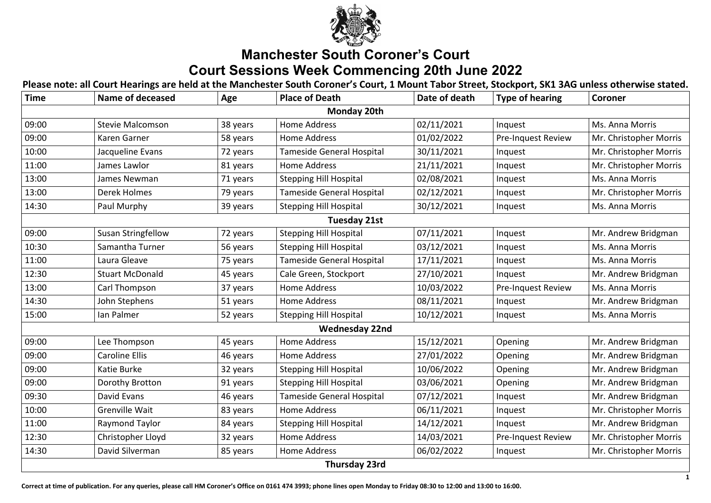

## **Manchester South Coroner's Court Court Sessions Week Commencing 20th June 2022**

**Please note: all Court Hearings are held at the Manchester South Coroner's Court, 1 Mount Tabor Street, Stockport, SK1 3AG unless otherwise stated.**

**Correct at time of publication. For any queries, please call HM Coroner's Office on 0161 474 3993; phone lines open Monday to Friday 08:30 to 12:00 and 13:00 to 16:00.**

| <b>Time</b>         | <b>Name of deceased</b>   | Age      | <b>Place of Death</b>            | Date of death | <b>Type of hearing</b>    | <b>Coroner</b>         |  |  |  |
|---------------------|---------------------------|----------|----------------------------------|---------------|---------------------------|------------------------|--|--|--|
| <b>Monday 20th</b>  |                           |          |                                  |               |                           |                        |  |  |  |
| 09:00               | <b>Stevie Malcomson</b>   | 38 years | <b>Home Address</b>              | 02/11/2021    | Inquest                   | Ms. Anna Morris        |  |  |  |
| 09:00               | Karen Garner              | 58 years | <b>Home Address</b>              | 01/02/2022    | <b>Pre-Inquest Review</b> | Mr. Christopher Morris |  |  |  |
| 10:00               | Jacqueline Evans          | 72 years | <b>Tameside General Hospital</b> | 30/11/2021    | Inquest                   | Mr. Christopher Morris |  |  |  |
| 11:00               | James Lawlor              | 81 years | Home Address                     | 21/11/2021    | Inquest                   | Mr. Christopher Morris |  |  |  |
| 13:00               | <b>James Newman</b>       | 71 years | <b>Stepping Hill Hospital</b>    | 02/08/2021    | Inquest                   | <b>Ms. Anna Morris</b> |  |  |  |
| 13:00               | <b>Derek Holmes</b>       | 79 years | <b>Tameside General Hospital</b> | 02/12/2021    | Inquest                   | Mr. Christopher Morris |  |  |  |
| 14:30               | Paul Murphy               | 39 years | <b>Stepping Hill Hospital</b>    | 30/12/2021    | Inquest                   | Ms. Anna Morris        |  |  |  |
| <b>Tuesday 21st</b> |                           |          |                                  |               |                           |                        |  |  |  |
| 09:00               | <b>Susan Stringfellow</b> | 72 years | <b>Stepping Hill Hospital</b>    | 07/11/2021    | Inquest                   | Mr. Andrew Bridgman    |  |  |  |
| 10:30               | Samantha Turner           | 56 years | <b>Stepping Hill Hospital</b>    | 03/12/2021    | Inquest                   | Ms. Anna Morris        |  |  |  |
| 11:00               | Laura Gleave              | 75 years | <b>Tameside General Hospital</b> | 17/11/2021    | Inquest                   | Ms. Anna Morris        |  |  |  |
| 12:30               | <b>Stuart McDonald</b>    | 45 years | Cale Green, Stockport            | 27/10/2021    | Inquest                   | Mr. Andrew Bridgman    |  |  |  |
| 13:00               | Carl Thompson             | 37 years | Home Address                     | 10/03/2022    | <b>Pre-Inquest Review</b> | Ms. Anna Morris        |  |  |  |
| 14:30               | John Stephens             | 51 years | Home Address                     | 08/11/2021    | Inquest                   | Mr. Andrew Bridgman    |  |  |  |
| 15:00               | lan Palmer                | 52 years | <b>Stepping Hill Hospital</b>    | 10/12/2021    | Inquest                   | Ms. Anna Morris        |  |  |  |
|                     |                           |          | <b>Wednesday 22nd</b>            |               |                           |                        |  |  |  |
| 09:00               | Lee Thompson              | 45 years | Home Address                     | 15/12/2021    | Opening                   | Mr. Andrew Bridgman    |  |  |  |
| 09:00               | <b>Caroline Ellis</b>     | 46 years | <b>Home Address</b>              | 27/01/2022    | Opening                   | Mr. Andrew Bridgman    |  |  |  |
| 09:00               | Katie Burke               | 32 years | <b>Stepping Hill Hospital</b>    | 10/06/2022    | Opening                   | Mr. Andrew Bridgman    |  |  |  |
| 09:00               | Dorothy Brotton           | 91 years | <b>Stepping Hill Hospital</b>    | 03/06/2021    | Opening                   | Mr. Andrew Bridgman    |  |  |  |
| 09:30               | David Evans               | 46 years | <b>Tameside General Hospital</b> | 07/12/2021    | Inquest                   | Mr. Andrew Bridgman    |  |  |  |
| 10:00               | <b>Grenville Wait</b>     | 83 years | Home Address                     | 06/11/2021    | Inquest                   | Mr. Christopher Morris |  |  |  |
| 11:00               | <b>Raymond Taylor</b>     | 84 years | <b>Stepping Hill Hospital</b>    | 14/12/2021    | Inquest                   | Mr. Andrew Bridgman    |  |  |  |
| 12:30               | Christopher Lloyd         | 32 years | <b>Home Address</b>              | 14/03/2021    | <b>Pre-Inquest Review</b> | Mr. Christopher Morris |  |  |  |
| 14:30               | David Silverman           | 85 years | Home Address                     | 06/02/2022    | Inquest                   | Mr. Christopher Morris |  |  |  |
|                     |                           |          | <b>Thursday 23rd</b>             |               |                           |                        |  |  |  |